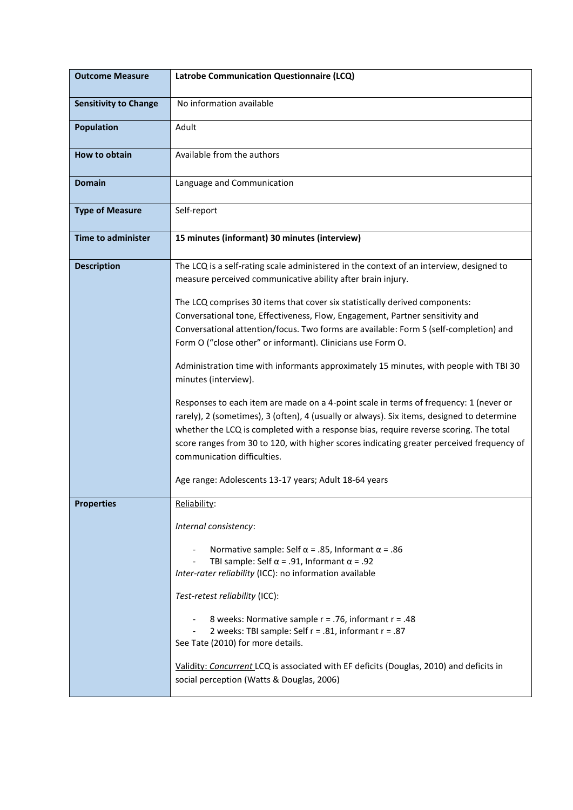| <b>Outcome Measure</b>       | Latrobe Communication Questionnaire (LCQ)                                                                                                                                                                                                                                                                                                                                                                |
|------------------------------|----------------------------------------------------------------------------------------------------------------------------------------------------------------------------------------------------------------------------------------------------------------------------------------------------------------------------------------------------------------------------------------------------------|
| <b>Sensitivity to Change</b> | No information available                                                                                                                                                                                                                                                                                                                                                                                 |
| <b>Population</b>            | Adult                                                                                                                                                                                                                                                                                                                                                                                                    |
| How to obtain                | Available from the authors                                                                                                                                                                                                                                                                                                                                                                               |
| <b>Domain</b>                | Language and Communication                                                                                                                                                                                                                                                                                                                                                                               |
| <b>Type of Measure</b>       | Self-report                                                                                                                                                                                                                                                                                                                                                                                              |
| <b>Time to administer</b>    | 15 minutes (informant) 30 minutes (interview)                                                                                                                                                                                                                                                                                                                                                            |
| <b>Description</b>           | The LCQ is a self-rating scale administered in the context of an interview, designed to<br>measure perceived communicative ability after brain injury.                                                                                                                                                                                                                                                   |
|                              | The LCQ comprises 30 items that cover six statistically derived components:<br>Conversational tone, Effectiveness, Flow, Engagement, Partner sensitivity and<br>Conversational attention/focus. Two forms are available: Form S (self-completion) and<br>Form O ("close other" or informant). Clinicians use Form O.                                                                                     |
|                              | Administration time with informants approximately 15 minutes, with people with TBI 30<br>minutes (interview).                                                                                                                                                                                                                                                                                            |
|                              | Responses to each item are made on a 4-point scale in terms of frequency: 1 (never or<br>rarely), 2 (sometimes), 3 (often), 4 (usually or always). Six items, designed to determine<br>whether the LCQ is completed with a response bias, require reverse scoring. The total<br>score ranges from 30 to 120, with higher scores indicating greater perceived frequency of<br>communication difficulties. |
|                              | Age range: Adolescents 13-17 years; Adult 18-64 years                                                                                                                                                                                                                                                                                                                                                    |
| <b>Properties</b>            | Reliability:                                                                                                                                                                                                                                                                                                                                                                                             |
|                              | Internal consistency:                                                                                                                                                                                                                                                                                                                                                                                    |
|                              | Normative sample: Self $\alpha$ = .85, Informant $\alpha$ = .86<br>TBI sample: Self $\alpha$ = .91, Informant $\alpha$ = .92<br>Inter-rater reliability (ICC): no information available                                                                                                                                                                                                                  |
|                              | Test-retest reliability (ICC):                                                                                                                                                                                                                                                                                                                                                                           |
|                              | 8 weeks: Normative sample r = .76, informant r = .48<br>2 weeks: TBI sample: Self r = .81, informant r = .87<br>See Tate (2010) for more details.                                                                                                                                                                                                                                                        |
|                              | Validity: Concurrent LCQ is associated with EF deficits (Douglas, 2010) and deficits in<br>social perception (Watts & Douglas, 2006)                                                                                                                                                                                                                                                                     |